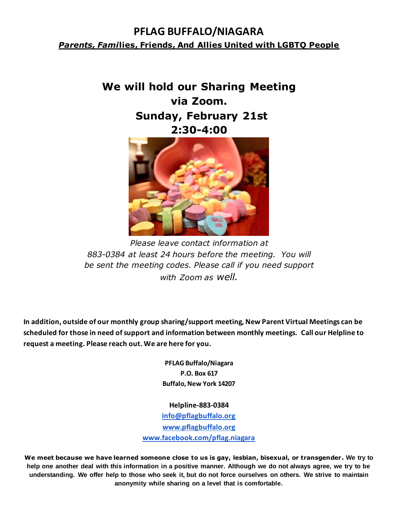### **PFLAG BUFFALO/NIAGARA** *Parents, Fami***lies, Friends, And Allies United with LGBTQ People**

# **We will hold our Sharing Meeting via Zoom. Sunday, February 21st 2:30-4:00**



*Please leave contact information at 883-0384 at least 24 hours before the meeting. You will be sent the meeting codes. Please call if you need support with Zoom as well.*

**In addition, outside of our monthly group sharing/support meeting, New Parent Virtual Meetings can be scheduled for those in need of support and information between monthly meetings. Call our Helpline to request a meeting. Please reach out. We are here for you.**

> **PFLAG Buffalo/Niagara P.O. Box 617 Buffalo, New York 14207**

**Helpline-883-0384 [info@pflagbuffalo.org](mailto:info@pflagbuffalo.org) [www.pflagbuffalo.org](http://www.pflagbuffalo.org/) [www.facebook.com/pflag.niagara](http://www.facebook.com/pflag.niagara)**

**We meet because we have learned someone close to us is gay, lesbian, bisexual, or transgender. We try to help one another deal with this information in a positive manner. Although we do not always agree, we try to be understanding. We offer help to those who seek it, but do not force ourselves on others. We strive to maintain anonymity while sharing on a level that is comfortable.**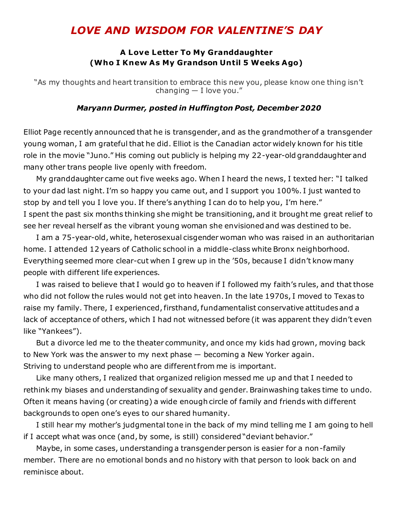## *LOVE AND WISDOM FOR VALENTINE'S DAY*

### **A Love Letter To My Granddaughter (Who I Knew As My Grandson Until 5 Weeks Ago)**

"As my thoughts and heart transition to embrace this new you, please know one thing isn't changing  $-$  I love you."

#### *[Maryann Durmer,](https://www.huffpost.com/author/maryann-durmer) posted in Huffington Post, December 2020*

[Elliot Page recently announced that he is transgender,](https://www.huffpost.com/entry/elliot-page-comes-out-transgender_n_5fc67bd1c5b6e4b1ea4f35eb) and as the grandmother of a transgender young woman, I am grateful that he did. Elliot is the Canadian actor widely known for his title role in the movie "Juno." His coming out publicly is helping my 22-year-old granddaughter and many other trans people live openly with freedom.

 My granddaughter came out five weeks ago. When I heard the news, I texted her: "I talked to your dad last night. I'm so happy you came out, and I support you 100%. I just wanted to stop by and tell you I love you. If there's anything I can do to help you, I'm here." I spent the past six months thinking she might be transitioning, and it brought me great relief to see her reveal herself as the vibrant young woman she envisioned and was destined to be.

 I am a 75-year-old, white, heterosexual cisgender woman who was raised in an authoritarian home. I attended 12 years of Catholic school in a middle-class white Bronx neighborhood. Everything seemed more clear-cut when I grew up in the '50s, because I didn't know many people with different life experiences.

 I was raised to believe that I would go to heaven if I followed my faith's rules, and that those who did not follow the rules would not get into heaven. In the late 1970s, I moved to Texas to raise my family. There, I experienced, firsthand, fundamentalist conservative attitudes and a lack of acceptance of others, which I had not witnessed before (it was apparent they didn't even like "Yankees").

 But a divorce led me to the theater community, and once my kids had grown, moving back to New York was the answer to my next phase ― becoming a New Yorker again. Striving to understand people who are different from me is important.

 Like many others, I realized that organized religion messed me up and that I needed to rethink my biases and understanding of sexuality and gender. Brainwashing takes time to undo. Often it means having (or creating) a wide enough circle of family and friends with different backgrounds to open one's eyes to our shared humanity.

 I still hear my mother's judgmental tone in the back of my mind telling me I am going to hell if I accept what was once (and, by some, is still) considered "deviant behavior."

 Maybe, in some cases, understanding a transgender person is easier for a non-family member. There are no emotional bonds and no history with that person to look back on and reminisce about.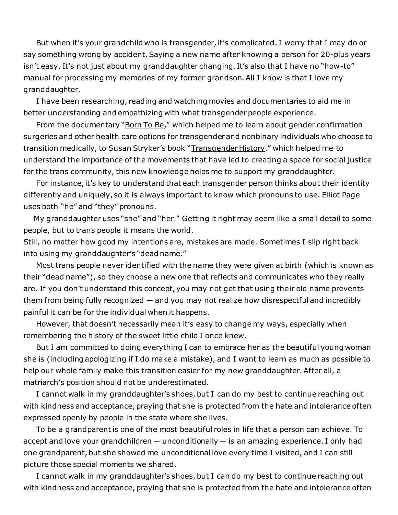But when it's your grandchild who is transgender, it's complicated. I worry that I may do or say something wrong by accident. Saying a new name after knowing a person for 20-plus years isn't easy. It's not just about my granddaughter changing. It's also that I have no "how-to" manual for processing my memories of my former grandson. All I know is that I love my granddaughter.

 I have been researching, reading and watching movies and documentaries to aid me in better understanding and empathizing with what transgender people experience.

From the documentary "[Born To Be](https://www.borntobefilm.com/)," which helped me to learn about gender confirmation surgeries and other health care options for transgender and nonbinary individuals who choose to transition medically, to Susan Stryker's book "[Transgender History](https://www.sealpress.com/titles/susan-stryker/transgender-history-second-edition/9781580056908/)," which helped me to understand the importance of the movements that have led to creating a space for social justice for the trans community, this new knowledge helps me to support my granddaughter.

 For instance, it's key to understand that each transgender person thinks about their identity differently and uniquely, so it is always important to know which pronouns to use. Elliot Page uses both "he" and "they" pronouns.

 My granddaughter uses "she" and "her." Getting it right may seem like a small detail to some people, but to trans people it means the world.

Still, no matter how good my intentions are, mistakes are made. Sometimes I slip right back into using my granddaughter's "dead name."

 Most trans people never identified with the name they were given at birth (which is known as their "dead name"), so they choose a new one that reflects and communicates who they really are. If you don't understand this concept, you may not get that using their old name prevents them from being fully recognized ― and you may not realize how disrespectful and incredibly painful it can be for the individual when it happens.

 However, that doesn't necessarily mean it's easy to change my ways, especially when remembering the history of the sweet little child I once knew.

 But I am committed to doing everything I can to embrace her as the beautiful young woman she is (including apologizing if I do make a mistake), and I want to learn as much as possible to help our whole family make this transition easier for my new granddaughter. After all, a matriarch's position should not be underestimated.

 I cannot walk in my granddaughter's shoes, but I can do my best to continue reaching out with kindness and acceptance, praying that she is protected from the hate and intolerance often expressed openly by people in the state where she lives.

 To be a grandparent is one of the most beautiful roles in life that a person can achieve. To accept and love your grandchildren ― unconditionally ― is an amazing experience. I only had one grandparent, but she showed me unconditional love every time I visited, and I can still picture those special moments we shared.

 I cannot walk in my granddaughter's shoes, but I can do my best to continue reaching out with kindness and acceptance, praying that she is protected from the hate and intolerance often